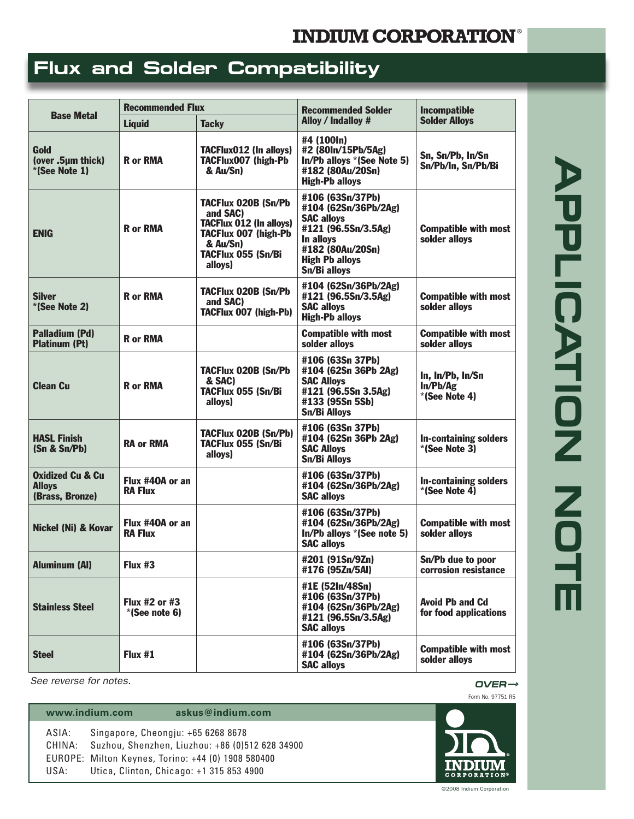## **INDIUM CORPORATION®**

## **Flux and Solder Compatibility**

| <b>Base Metal</b>                                               | <b>Recommended Flux</b>            |                                                                                                                                               | Recommended Solder                                                                                                                                             | <b>Incompatible</b>                             |
|-----------------------------------------------------------------|------------------------------------|-----------------------------------------------------------------------------------------------------------------------------------------------|----------------------------------------------------------------------------------------------------------------------------------------------------------------|-------------------------------------------------|
|                                                                 | <b>Liquid</b>                      | <b>Tacky</b>                                                                                                                                  | <b>Alloy / Indalloy #</b>                                                                                                                                      | <b>Solder Alloys</b>                            |
| Gold<br>(over .5µm thick)<br>*(See Note 1)                      | <b>R</b> or RMA                    | <b>TACFlux012 (In alloys)</b><br>TACFlux007 (high-Pb<br>& Au/Sn)                                                                              | #4 (100ln)<br>#2 (80ln/15Pb/5Ag)<br>In/Pb alloys *(See Note 5)<br>#182 (80Au/20Sn)<br><b>High-Pb alloys</b>                                                    | Sn, Sn/Pb, In/Sn<br>Sn/Pb/In, Sn/Pb/Bi          |
| <b>ENIG</b>                                                     | <b>R</b> or RMA                    | TACFlux 020B (Sn/Pb<br>and SAC)<br><b>TACFlux 012 (In alloys)</b><br><b>TACFlux 007 (high-Pb</b><br>& Au/Sn)<br>TACFlux 055 (Sn/Bi<br>alloys) | #106 (63Sn/37Pb)<br>#104 (62Sn/36Pb/2Ag)<br><b>SAC alloys</b><br>#121 (96.5Sn/3.5Ag)<br>In alloys<br>#182 (80Au/20Sn)<br><b>High Pb alloys</b><br>Sn/Bi allovs | <b>Compatible with most</b><br>solder alloys    |
| <b>Silver</b><br>*(See Note 2)                                  | <b>R</b> or RMA                    | TACFlux 020B (Sn/Pb<br>and SAC)<br><b>TACFlux 007 (high-Pb)</b>                                                                               | #104 (62Sn/36Pb/2Ag)<br>#121 (96.5Sn/3.5Ag)<br><b>SAC alloys</b><br><b>High-Pb alloys</b>                                                                      | <b>Compatible with most</b><br>solder alloys    |
| <b>Palladium (Pd)</b><br><b>Platinum (Pt)</b>                   | <b>R</b> or RMA                    |                                                                                                                                               | <b>Compatible with most</b><br>solder alloys                                                                                                                   | <b>Compatible with most</b><br>solder alloys    |
| <b>Clean Cu</b>                                                 | <b>R</b> or RMA                    | <b>TACFlux 020B (Sn/Pb</b><br>& SAC)<br>TACFlux 055 (Sn/Bi<br>alloys)                                                                         | #106 (63Sn 37Pb)<br>#104 (62Sn 36Pb 2Ag)<br><b>SAC Alloys</b><br>#121 (96.5Sn 3.5Ag)<br>#133 (95Sn 5Sb)<br><b>Sn/Bi Alloys</b>                                 | In, In/Pb, In/Sn<br>In/Pb/Ag<br>*(See Note 4)   |
| <b>HASL Finish</b><br>(Sn & Sn/Pb)                              | <b>RA or RMA</b>                   | TACFlux 020B (Sn/Pb)<br>TACFlux 055 (Sn/Bi<br>alloys)                                                                                         | #106 (63Sn 37Pb)<br>#104 (62Sn 36Pb 2Ag)<br><b>SAC Alloys</b><br><b>Sn/Bi Alloys</b>                                                                           | <b>In-containing solders</b><br>*(See Note 3)   |
| <b>Oxidized Cu &amp; Cu</b><br><b>Alloys</b><br>(Brass, Bronze) | Flux #40A or an<br><b>RA Flux</b>  |                                                                                                                                               | #106 (63Sn/37Pb)<br>#104 (62Sn/36Pb/2Ag)<br><b>SAC alloys</b>                                                                                                  | <b>In-containing solders</b><br>*(See Note 4)   |
| Nickel (Ni) & Kovar                                             | Flux #40A or an<br><b>RA Flux</b>  |                                                                                                                                               | #106 (63Sn/37Pb)<br>#104 (62Sn/36Pb/2Ag)<br>In/Pb alloys *(See note 5)<br><b>SAC alloys</b>                                                                    | <b>Compatible with most</b><br>solder alloys    |
| Aluminum (AI)                                                   | Flux $#3$                          |                                                                                                                                               | #201 (91Sn/9Zn)<br>#176 (95Zn/5AI)                                                                                                                             | Sn/Ph due to noor<br>corrosion resistance       |
| <b>Stainless Steel</b>                                          | Flux $#2$ or $#3$<br>*(See note 6) |                                                                                                                                               | #1E (52In/48Sn)<br>#106 (63Sn/37Pb)<br>#104 (62Sn/36Pb/2Ag)<br>#121 (96.5Sn/3.5Ag)<br><b>SAC alloys</b>                                                        | <b>Avoid Pb and Cd</b><br>for food applications |
| <b>Steel</b>                                                    | Flux #1                            |                                                                                                                                               | #106 (63Sn/37Pb)<br>#104 (62Sn/36Pb/2Ag)<br><b>SAC alloys</b>                                                                                                  | <b>Compatible with most</b><br>solder alloys    |

*OVER—> See reverse for notes.*

## **www.indium.com askus@indium.com**

ASIA: Singapore, Cheongju: +65 6268 8678 CHINA: Suzhou, Shenzhen, Liuzhou: +86 (0)512 628 34900 EUROPE: Milton Keynes, Torino: +44 (0) 1908 580400 USA: Utica, Clinton, Chicago: +1 315 853 4900



Form No. 97751 R5

©2008 Indium Corporation